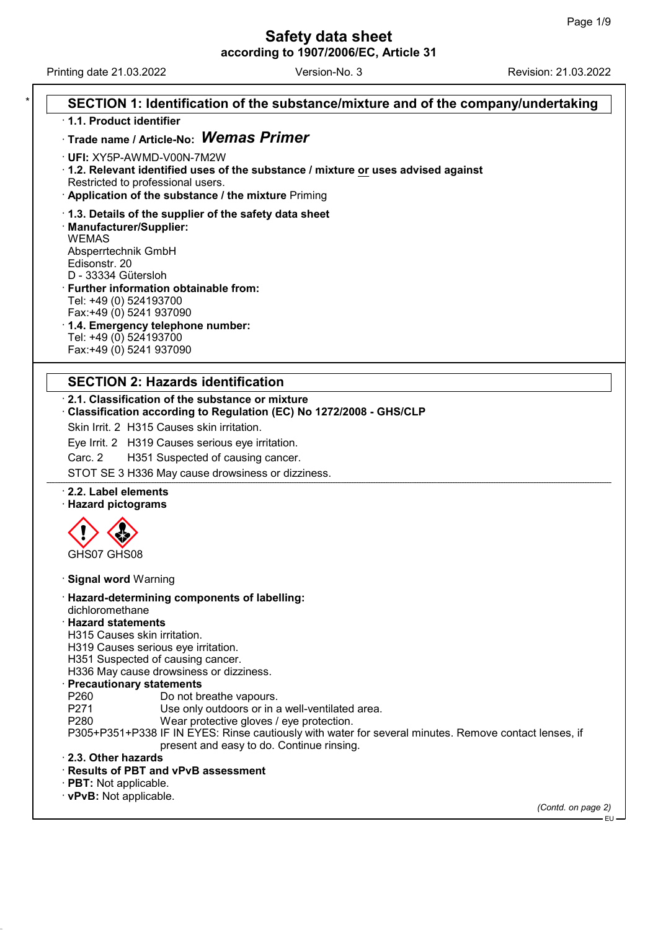Printing date 21.03.2022 **Revision: 21.03.2022** Version-No. 3

| SECTION 1: Identification of the substance/mixture and of the company/undertaking<br>1.1. Product identifier          |  |
|-----------------------------------------------------------------------------------------------------------------------|--|
| Trade name / Article-No: Wemas Primer                                                                                 |  |
|                                                                                                                       |  |
| · UFI: XY5P-AWMD-V00N-7M2W                                                                                            |  |
| 1.2. Relevant identified uses of the substance / mixture or uses advised against<br>Restricted to professional users. |  |
| · Application of the substance / the mixture Priming                                                                  |  |
|                                                                                                                       |  |
| 1.3. Details of the supplier of the safety data sheet<br>· Manufacturer/Supplier:                                     |  |
| <b>WEMAS</b>                                                                                                          |  |
| Absperrtechnik GmbH                                                                                                   |  |
| Edisonstr. 20                                                                                                         |  |
| D - 33334 Gütersloh                                                                                                   |  |
| <b>Further information obtainable from:</b>                                                                           |  |
| Tel: +49 (0) 524193700                                                                                                |  |
| Fax:+49 (0) 5241 937090                                                                                               |  |
| 1.4. Emergency telephone number:<br>Tel: +49 (0) 524193700                                                            |  |
| Fax:+49 (0) 5241 937090                                                                                               |  |
|                                                                                                                       |  |
| <b>SECTION 2: Hazards identification</b>                                                                              |  |
| 2.1. Classification of the substance or mixture                                                                       |  |
| Classification according to Regulation (EC) No 1272/2008 - GHS/CLP                                                    |  |
| Skin Irrit. 2 H315 Causes skin irritation.                                                                            |  |
| Eye Irrit. 2 H319 Causes serious eye irritation.                                                                      |  |
| Carc. 2<br>H351 Suspected of causing cancer.                                                                          |  |
| STOT SE 3 H336 May cause drowsiness or dizziness.                                                                     |  |
| 2.2. Label elements                                                                                                   |  |
| · Hazard pictograms                                                                                                   |  |
|                                                                                                                       |  |
|                                                                                                                       |  |
| GHS07 GHS08                                                                                                           |  |
|                                                                                                                       |  |
| <b>Signal word Warning</b>                                                                                            |  |
| · Hazard-determining components of labelling:                                                                         |  |
| dichloromethane                                                                                                       |  |
| <b>Hazard statements</b>                                                                                              |  |
| H315 Causes skin irritation.<br>H319 Causes serious eye irritation.                                                   |  |
| H351 Suspected of causing cancer.                                                                                     |  |
| H336 May cause drowsiness or dizziness.                                                                               |  |
| <b>Precautionary statements</b>                                                                                       |  |
| P260<br>Do not breathe vapours.                                                                                       |  |
| P271<br>Use only outdoors or in a well-ventilated area.                                                               |  |
| P280<br>Wear protective gloves / eye protection.                                                                      |  |
| P305+P351+P338 IF IN EYES: Rinse cautiously with water for several minutes. Remove contact lenses, if                 |  |
| present and easy to do. Continue rinsing.                                                                             |  |
|                                                                                                                       |  |
| 2.3. Other hazards                                                                                                    |  |
| · Results of PBT and vPvB assessment                                                                                  |  |
| $\cdot$ PBT: Not applicable.<br>· vPvB: Not applicable.                                                               |  |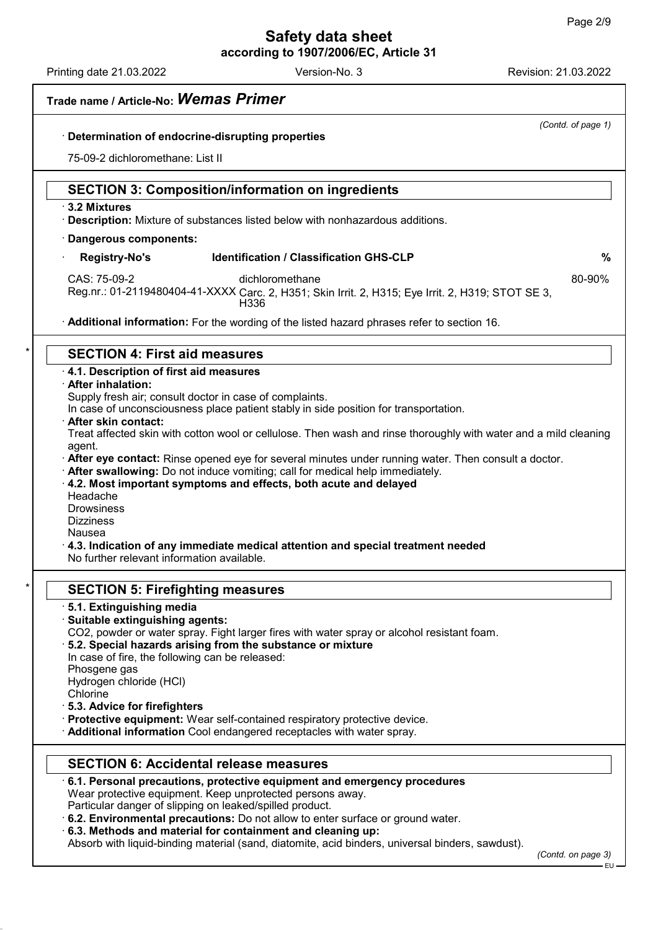Printing date 21.03.2022 Revision: 21.03.2022 Version-No. 3

| Trade name / Article-No: Wemas Primer                                                                                                                          |
|----------------------------------------------------------------------------------------------------------------------------------------------------------------|
| (Contd. of page 1)<br>Determination of endocrine-disrupting properties                                                                                         |
|                                                                                                                                                                |
| 75-09-2 dichloromethane: List II                                                                                                                               |
| <b>SECTION 3: Composition/information on ingredients</b>                                                                                                       |
| ⋅ 3.2 Mixtures<br>· Description: Mixture of substances listed below with nonhazardous additions.                                                               |
| · Dangerous components:                                                                                                                                        |
| <b>Identification / Classification GHS-CLP</b><br><b>Registry-No's</b><br>%                                                                                    |
| CAS: 75-09-2<br>dichloromethane<br>80-90%                                                                                                                      |
| Reg.nr.: 01-2119480404-41-XXXX Carc. 2, H351; Skin Irrit. 2, H315; Eye Irrit. 2, H319; STOT SE 3,<br>H336                                                      |
| Additional information: For the wording of the listed hazard phrases refer to section 16.                                                                      |
| <b>SECTION 4: First aid measures</b>                                                                                                                           |
| 4.1. Description of first aid measures                                                                                                                         |
| · After inhalation:                                                                                                                                            |
| Supply fresh air; consult doctor in case of complaints.<br>In case of unconsciousness place patient stably in side position for transportation.                |
| · After skin contact:                                                                                                                                          |
| Treat affected skin with cotton wool or cellulose. Then wash and rinse thoroughly with water and a mild cleaning                                               |
| agent.<br>After eye contact: Rinse opened eye for several minutes under running water. Then consult a doctor.                                                  |
| . After swallowing: Do not induce vomiting; call for medical help immediately.                                                                                 |
| 4.2. Most important symptoms and effects, both acute and delayed<br>Headache                                                                                   |
| <b>Drowsiness</b>                                                                                                                                              |
| <b>Dizziness</b>                                                                                                                                               |
| Nausea<br>$\cdot$ 4.3. Indication of any immediate medical attention and special treatment needed                                                              |
| No further relevant information available.                                                                                                                     |
| <b>SECTION 5: Firefighting measures</b>                                                                                                                        |
| 5.1. Extinguishing media                                                                                                                                       |
| Suitable extinguishing agents:                                                                                                                                 |
| CO2, powder or water spray. Fight larger fires with water spray or alcohol resistant foam.<br>5.2. Special hazards arising from the substance or mixture       |
| In case of fire, the following can be released:                                                                                                                |
| Phosgene gas                                                                                                                                                   |
| Hydrogen chloride (HCl)<br>Chlorine                                                                                                                            |
| 5.3. Advice for firefighters                                                                                                                                   |
| · Protective equipment: Wear self-contained respiratory protective device.                                                                                     |
| Additional information Cool endangered receptacles with water spray.                                                                                           |
| <b>SECTION 6: Accidental release measures</b>                                                                                                                  |
| $\cdot$ 6.1. Personal precautions, protective equipment and emergency procedures                                                                               |
| Wear protective equipment. Keep unprotected persons away.<br>Particular danger of slipping on leaked/spilled product.                                          |
| . 6.2. Environmental precautions: Do not allow to enter surface or ground water.                                                                               |
|                                                                                                                                                                |
| 6.3. Methods and material for containment and cleaning up:<br>Absorb with liquid-binding material (sand, diatomite, acid binders, universal binders, sawdust). |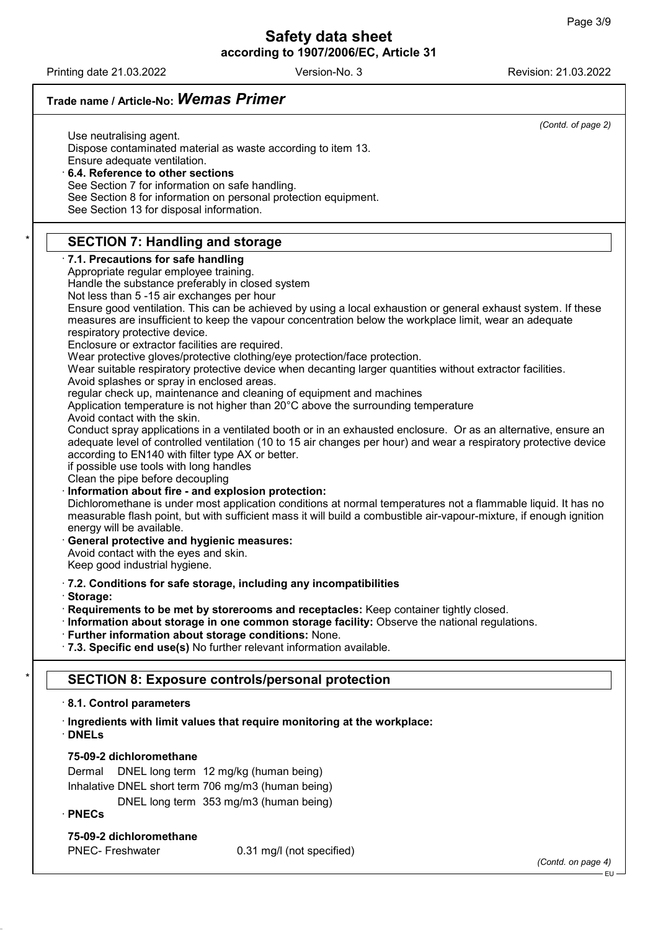٦

# Safety data sheet according to 1907/2006/EC, Article 31

Printing date 21.03.2022 Revision: 21.03.2022 Version-No. 3

| Trade name / Article-No: Wemas Primer                                                                                                                                                                                                                                                      |
|--------------------------------------------------------------------------------------------------------------------------------------------------------------------------------------------------------------------------------------------------------------------------------------------|
| (Contd. of page 2)                                                                                                                                                                                                                                                                         |
| Use neutralising agent.<br>Dispose contaminated material as waste according to item 13.<br>Ensure adequate ventilation.<br>6.4. Reference to other sections                                                                                                                                |
| See Section 7 for information on safe handling.                                                                                                                                                                                                                                            |
| See Section 8 for information on personal protection equipment.<br>See Section 13 for disposal information.                                                                                                                                                                                |
| <b>SECTION 7: Handling and storage</b>                                                                                                                                                                                                                                                     |
| 7.1. Precautions for safe handling<br>Appropriate regular employee training.                                                                                                                                                                                                               |
| Handle the substance preferably in closed system                                                                                                                                                                                                                                           |
| Not less than 5 -15 air exchanges per hour                                                                                                                                                                                                                                                 |
| Ensure good ventilation. This can be achieved by using a local exhaustion or general exhaust system. If these<br>measures are insufficient to keep the vapour concentration below the workplace limit, wear an adequate<br>respiratory protective device.                                  |
| Enclosure or extractor facilities are required.<br>Wear protective gloves/protective clothing/eye protection/face protection.                                                                                                                                                              |
| Wear suitable respiratory protective device when decanting larger quantities without extractor facilities.<br>Avoid splashes or spray in enclosed areas.                                                                                                                                   |
| regular check up, maintenance and cleaning of equipment and machines<br>Application temperature is not higher than 20°C above the surrounding temperature<br>Avoid contact with the skin.                                                                                                  |
| Conduct spray applications in a ventilated booth or in an exhausted enclosure. Or as an alternative, ensure an<br>adequate level of controlled ventilation (10 to 15 air changes per hour) and wear a respiratory protective device                                                        |
| according to EN140 with filter type AX or better.<br>if possible use tools with long handles<br>Clean the pipe before decoupling                                                                                                                                                           |
| Information about fire - and explosion protection:<br>Dichloromethane is under most application conditions at normal temperatures not a flammable liquid. It has no<br>measurable flash point, but with sufficient mass it will build a combustible air-vapour-mixture, if enough ignition |
| energy will be available.<br>General protective and hygienic measures:<br>Avoid contact with the eyes and skin.<br>Keep good industrial hygiene.                                                                                                                                           |
| · 7.2. Conditions for safe storage, including any incompatibilities                                                                                                                                                                                                                        |
| Storage:                                                                                                                                                                                                                                                                                   |
| Requirements to be met by storerooms and receptacles: Keep container tightly closed.                                                                                                                                                                                                       |
| · Information about storage in one common storage facility: Observe the national regulations.<br>· Further information about storage conditions: None.                                                                                                                                     |
| · 7.3. Specific end use(s) No further relevant information available.                                                                                                                                                                                                                      |
| <b>SECTION 8: Exposure controls/personal protection</b>                                                                                                                                                                                                                                    |
| 8.1. Control parameters                                                                                                                                                                                                                                                                    |
| · Ingredients with limit values that require monitoring at the workplace:<br>$\cdot$ DNELs                                                                                                                                                                                                 |
| 75-09-2 dichloromethane                                                                                                                                                                                                                                                                    |
| DNEL long term 12 mg/kg (human being)<br>Dermal                                                                                                                                                                                                                                            |
| Inhalative DNEL short term 706 mg/m3 (human being)                                                                                                                                                                                                                                         |
| DNEL long term 353 mg/m3 (human being)<br>$\cdot$ PNECs                                                                                                                                                                                                                                    |
| 75-09-2 dichloromethane                                                                                                                                                                                                                                                                    |
| <b>PNEC- Freshwater</b><br>0.31 mg/l (not specified)<br>(Contd. on page 4)                                                                                                                                                                                                                 |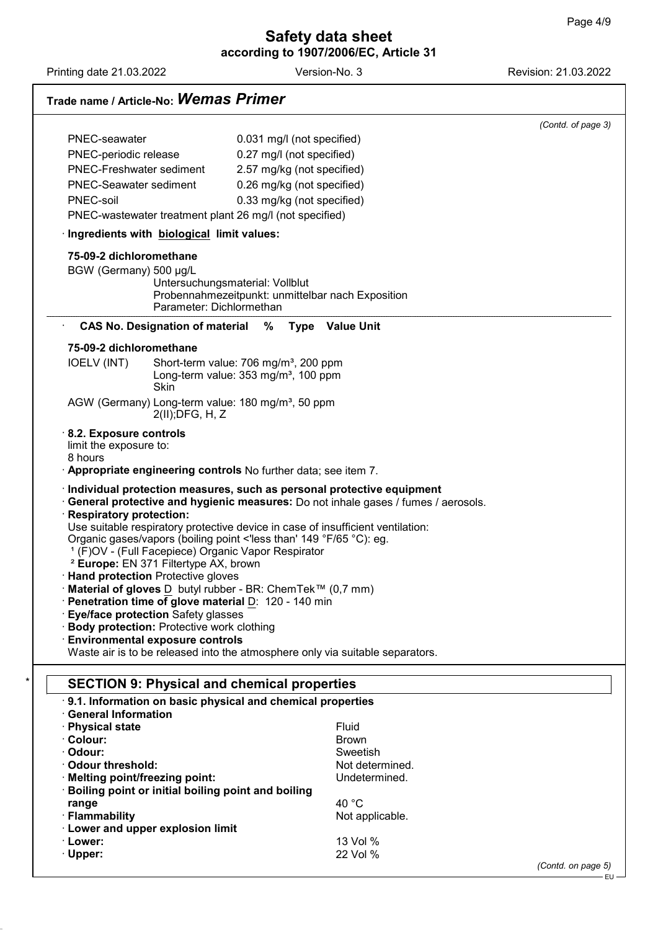Printing date 21.03.2022 **Revision: 21.03.2022** Version-No. 3

54.0.4

# Trade name / Article-No: Wemas Primer

|                                                                                                                                                                                                                                                                                                                                               | (Contd. of page 3)                                                                |
|-----------------------------------------------------------------------------------------------------------------------------------------------------------------------------------------------------------------------------------------------------------------------------------------------------------------------------------------------|-----------------------------------------------------------------------------------|
| PNEC-seawater                                                                                                                                                                                                                                                                                                                                 | 0.031 mg/l (not specified)                                                        |
| PNEC-periodic release                                                                                                                                                                                                                                                                                                                         | 0.27 mg/l (not specified)                                                         |
| PNEC-Freshwater sediment                                                                                                                                                                                                                                                                                                                      | 2.57 mg/kg (not specified)                                                        |
| <b>PNEC-Seawater sediment</b>                                                                                                                                                                                                                                                                                                                 | 0.26 mg/kg (not specified)                                                        |
| PNEC-soil                                                                                                                                                                                                                                                                                                                                     | 0.33 mg/kg (not specified)                                                        |
| PNEC-wastewater treatment plant 26 mg/l (not specified)                                                                                                                                                                                                                                                                                       |                                                                                   |
| Ingredients with biological limit values:                                                                                                                                                                                                                                                                                                     |                                                                                   |
| 75-09-2 dichloromethane                                                                                                                                                                                                                                                                                                                       |                                                                                   |
| BGW (Germany) 500 µg/L                                                                                                                                                                                                                                                                                                                        |                                                                                   |
|                                                                                                                                                                                                                                                                                                                                               | Untersuchungsmaterial: Vollblut                                                   |
|                                                                                                                                                                                                                                                                                                                                               | Probennahmezeitpunkt: unmittelbar nach Exposition<br>Parameter: Dichlormethan     |
| <b>CAS No. Designation of material</b>                                                                                                                                                                                                                                                                                                        | % Type Value Unit                                                                 |
| 75-09-2 dichloromethane                                                                                                                                                                                                                                                                                                                       |                                                                                   |
| <b>IOELV (INT)</b>                                                                                                                                                                                                                                                                                                                            | Short-term value: 706 mg/m <sup>3</sup> , 200 ppm                                 |
| Skin                                                                                                                                                                                                                                                                                                                                          | Long-term value: 353 mg/m <sup>3</sup> , 100 ppm                                  |
| AGW (Germany) Long-term value: 180 mg/m <sup>3</sup> , 50 ppm                                                                                                                                                                                                                                                                                 |                                                                                   |
| $2(II)$ ; DFG, H, Z                                                                                                                                                                                                                                                                                                                           |                                                                                   |
| 8.2. Exposure controls                                                                                                                                                                                                                                                                                                                        |                                                                                   |
| limit the exposure to:                                                                                                                                                                                                                                                                                                                        |                                                                                   |
|                                                                                                                                                                                                                                                                                                                                               |                                                                                   |
| 8 hours                                                                                                                                                                                                                                                                                                                                       |                                                                                   |
|                                                                                                                                                                                                                                                                                                                                               | . Appropriate engineering controls No further data; see item 7.                   |
|                                                                                                                                                                                                                                                                                                                                               | Individual protection measures, such as personal protective equipment             |
|                                                                                                                                                                                                                                                                                                                                               | General protective and hygienic measures: Do not inhale gases / fumes / aerosols. |
|                                                                                                                                                                                                                                                                                                                                               |                                                                                   |
|                                                                                                                                                                                                                                                                                                                                               | Use suitable respiratory protective device in case of insufficient ventilation:   |
|                                                                                                                                                                                                                                                                                                                                               | Organic gases/vapors (boiling point <'less than' 149 °F/65 °C): eg.               |
| <sup>1</sup> (F)OV - (Full Facepiece) Organic Vapor Respirator<br><sup>2</sup> Europe: EN 371 Filtertype AX, brown                                                                                                                                                                                                                            |                                                                                   |
|                                                                                                                                                                                                                                                                                                                                               |                                                                                   |
|                                                                                                                                                                                                                                                                                                                                               | Material of gloves D butyl rubber - BR: ChemTek™ (0,7 mm)                         |
|                                                                                                                                                                                                                                                                                                                                               |                                                                                   |
|                                                                                                                                                                                                                                                                                                                                               |                                                                                   |
|                                                                                                                                                                                                                                                                                                                                               |                                                                                   |
|                                                                                                                                                                                                                                                                                                                                               |                                                                                   |
|                                                                                                                                                                                                                                                                                                                                               | Waste air is to be released into the atmosphere only via suitable separators.     |
| Eye/face protection Safety glasses<br><b>SECTION 9: Physical and chemical properties</b>                                                                                                                                                                                                                                                      |                                                                                   |
|                                                                                                                                                                                                                                                                                                                                               | .9.1. Information on basic physical and chemical properties                       |
| <b>Body protection: Protective work clothing</b><br><b>Environmental exposure controls</b>                                                                                                                                                                                                                                                    |                                                                                   |
|                                                                                                                                                                                                                                                                                                                                               | Fluid                                                                             |
|                                                                                                                                                                                                                                                                                                                                               | <b>Brown</b>                                                                      |
|                                                                                                                                                                                                                                                                                                                                               | Sweetish                                                                          |
|                                                                                                                                                                                                                                                                                                                                               | Not determined.                                                                   |
|                                                                                                                                                                                                                                                                                                                                               | Undetermined.                                                                     |
|                                                                                                                                                                                                                                                                                                                                               |                                                                                   |
|                                                                                                                                                                                                                                                                                                                                               | 40 °C                                                                             |
| range                                                                                                                                                                                                                                                                                                                                         | Not applicable.                                                                   |
| Boiling point or initial boiling point and boiling                                                                                                                                                                                                                                                                                            |                                                                                   |
| Respiratory protection:<br>· Hand protection Protective gloves<br>Penetration time of glove material D: 120 - 140 min<br><b>General Information</b><br>· Physical state<br>· Colour:<br>· Odour:<br>· Odour threshold:<br>· Melting point/freezing point:<br>· Flammability<br><b>Lower and upper explosion limit</b><br>· Lower:<br>· Upper: | 13 Vol %<br>22 Vol %                                                              |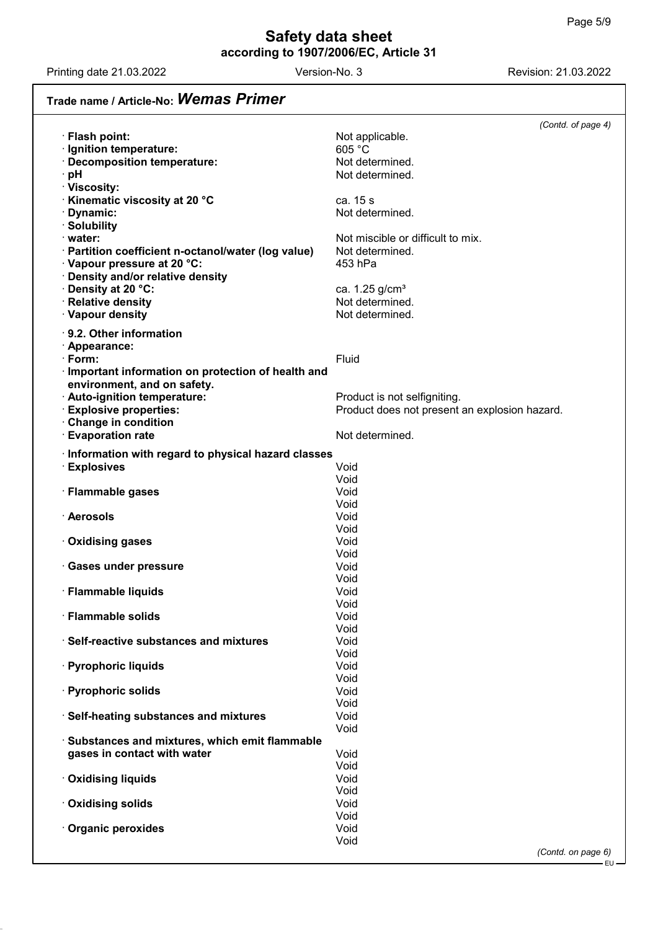Printing date 21.03.2022 **Revision: 21.03.2022** Version-No. 3

54.0.4

# Trade name / Article-No: Wemas Primer

|                                                                                    | (Contd. of page 4)                            |
|------------------------------------------------------------------------------------|-----------------------------------------------|
| · Flash point:                                                                     | Not applicable.                               |
| · Ignition temperature:                                                            | 605 °C                                        |
| · Decomposition temperature:                                                       | Not determined.                               |
| · pH                                                                               | Not determined.                               |
| · Viscosity:<br><b>Kinematic viscosity at 20 °C</b>                                | ca. 15 s                                      |
| · Dynamic:                                                                         | Not determined.                               |
| · Solubility                                                                       |                                               |
| $\cdot$ water:                                                                     | Not miscible or difficult to mix.             |
| · Partition coefficient n-octanol/water (log value)                                | Not determined.                               |
| · Vapour pressure at 20 °C:                                                        | 453 hPa                                       |
| · Density and/or relative density                                                  |                                               |
| · Density at 20 °C:                                                                | ca. 1.25 g/cm <sup>3</sup>                    |
| · Relative density<br>· Vapour density                                             | Not determined.<br>Not determined.            |
|                                                                                    |                                               |
| $\cdot$ 9.2. Other information                                                     |                                               |
| · Appearance:                                                                      |                                               |
| · Form:                                                                            | Fluid                                         |
| · Important information on protection of health and<br>environment, and on safety. |                                               |
| · Auto-ignition temperature:                                                       | Product is not selfigniting.                  |
| <b>Explosive properties:</b>                                                       | Product does not present an explosion hazard. |
| Change in condition                                                                |                                               |
| · Evaporation rate                                                                 | Not determined.                               |
| Information with regard to physical hazard classes                                 |                                               |
| · Explosives                                                                       | Void                                          |
|                                                                                    | Void                                          |
| · Flammable gases                                                                  | Void                                          |
| · Aerosols                                                                         | Void                                          |
|                                                                                    | Void<br>Void                                  |
| · Oxidising gases                                                                  | Void                                          |
|                                                                                    | Void                                          |
| · Gases under pressure                                                             | Void                                          |
|                                                                                    | Void                                          |
| · Flammable liquids                                                                | Void                                          |
| · Flammable solids                                                                 | Void<br>Void                                  |
|                                                                                    | Void                                          |
| · Self-reactive substances and mixtures                                            | Void                                          |
|                                                                                    | Void                                          |
| · Pyrophoric liquids                                                               | Void                                          |
|                                                                                    | Void                                          |
| · Pyrophoric solids                                                                | Void<br>Void                                  |
| · Self-heating substances and mixtures                                             | Void                                          |
|                                                                                    | Void                                          |
| Substances and mixtures, which emit flammable                                      |                                               |
| gases in contact with water                                                        | Void                                          |
|                                                                                    | Void                                          |
| · Oxidising liquids                                                                | Void<br>Void                                  |
| · Oxidising solids                                                                 | Void                                          |
|                                                                                    | Void                                          |
| Organic peroxides                                                                  | Void                                          |
|                                                                                    | Void                                          |
|                                                                                    | (Contd. on page 6)                            |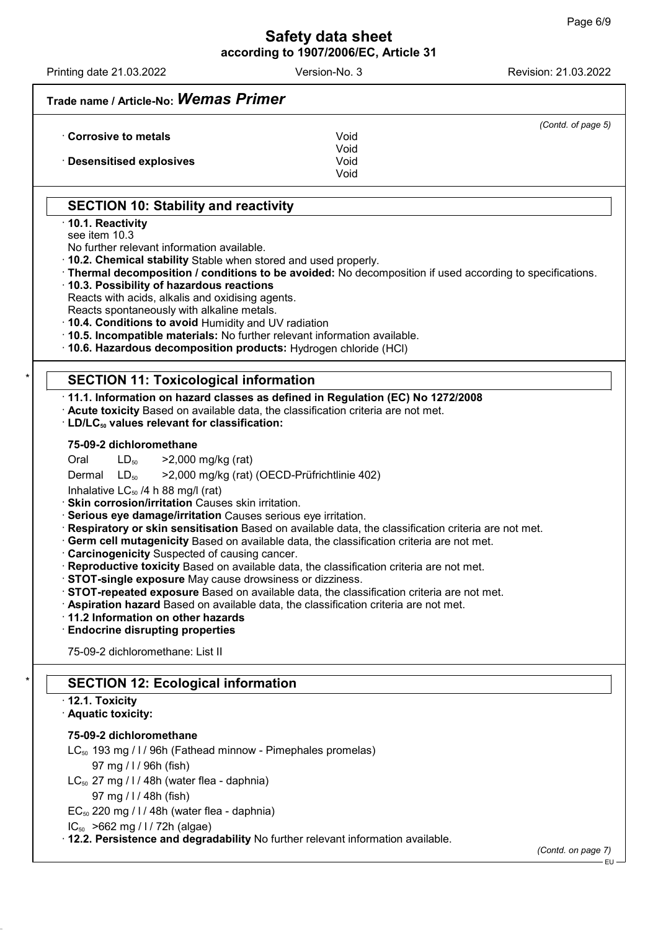EU

Printing date 21.03.2022 Revision: 21.03.2022 Version-No. 3

|                                                                                                                                               | (Contd. of page 5)                                                                                      |
|-----------------------------------------------------------------------------------------------------------------------------------------------|---------------------------------------------------------------------------------------------------------|
| Corrosive to metals                                                                                                                           | Void<br>Void                                                                                            |
| <b>Desensitised explosives</b>                                                                                                                | Void<br>Void                                                                                            |
| <b>SECTION 10: Stability and reactivity</b>                                                                                                   |                                                                                                         |
| 10.1. Reactivity                                                                                                                              |                                                                                                         |
| see item 10.3                                                                                                                                 |                                                                                                         |
| No further relevant information available.                                                                                                    |                                                                                                         |
| . 10.2. Chemical stability Stable when stored and used properly.                                                                              | Thermal decomposition / conditions to be avoided: No decomposition if used according to specifications. |
| 10.3. Possibility of hazardous reactions                                                                                                      |                                                                                                         |
| Reacts with acids, alkalis and oxidising agents.                                                                                              |                                                                                                         |
| Reacts spontaneously with alkaline metals.                                                                                                    |                                                                                                         |
| . 10.4. Conditions to avoid Humidity and UV radiation<br>. 10.5. Incompatible materials: No further relevant information available.           |                                                                                                         |
| · 10.6. Hazardous decomposition products: Hydrogen chloride (HCl)                                                                             |                                                                                                         |
|                                                                                                                                               |                                                                                                         |
| <b>SECTION 11: Toxicological information</b>                                                                                                  |                                                                                                         |
| 11.1. Information on hazard classes as defined in Regulation (EC) No 1272/2008                                                                |                                                                                                         |
| Acute toxicity Based on available data, the classification criteria are not met.<br>· LD/LC <sub>50</sub> values relevant for classification: |                                                                                                         |
|                                                                                                                                               |                                                                                                         |
| 75-09-2 dichloromethane                                                                                                                       |                                                                                                         |
| >2,000 mg/kg (rat)<br>Oral<br>$LD_{50}$                                                                                                       |                                                                                                         |
| Dermal $LD_{50}$<br>>2,000 mg/kg (rat) (OECD-Prüfrichtlinie 402)<br>Inhalative $LC_{50}$ /4 h 88 mg/l (rat)                                   |                                                                                                         |
| · Skin corrosion/irritation Causes skin irritation.                                                                                           |                                                                                                         |
| · Serious eye damage/irritation Causes serious eye irritation.                                                                                |                                                                                                         |
|                                                                                                                                               | Respiratory or skin sensitisation Based on available data, the classification criteria are not met.     |
| Carcinogenicity Suspected of causing cancer.                                                                                                  | Germ cell mutagenicity Based on available data, the classification criteria are not met.                |
| Reproductive toxicity Based on available data, the classification criteria are not met.                                                       |                                                                                                         |
| · STOT-single exposure May cause drowsiness or dizziness                                                                                      |                                                                                                         |
|                                                                                                                                               | STOT-repeated exposure Based on available data, the classification criteria are not met.                |
| · Aspiration hazard Based on available data, the classification criteria are not met.<br>· 11.2 Information on other hazards                  |                                                                                                         |
| <b>Endocrine disrupting properties</b>                                                                                                        |                                                                                                         |
| 75-09-2 dichloromethane: List II                                                                                                              |                                                                                                         |
| <b>SECTION 12: Ecological information</b>                                                                                                     |                                                                                                         |
| $\cdot$ 12.1. Toxicity                                                                                                                        |                                                                                                         |
| · Aquatic toxicity:                                                                                                                           |                                                                                                         |
| 75-09-2 dichloromethane                                                                                                                       |                                                                                                         |
| LC <sub>50</sub> 193 mg / I / 96h (Fathead minnow - Pimephales promelas)                                                                      |                                                                                                         |
| 97 mg / I / 96h (fish)                                                                                                                        |                                                                                                         |
| $LC_{50}$ 27 mg / I / 48h (water flea - daphnia)                                                                                              |                                                                                                         |
| 97 mg / I / 48h (fish)                                                                                                                        |                                                                                                         |
| $EC_{50}$ 220 mg / I / 48h (water flea - daphnia)                                                                                             |                                                                                                         |
| $IC_{50}$ >662 mg / l / 72h (algae)<br>12.2. Persistence and degradability No further relevant information available.                         |                                                                                                         |
|                                                                                                                                               | (Contd. on page 7)                                                                                      |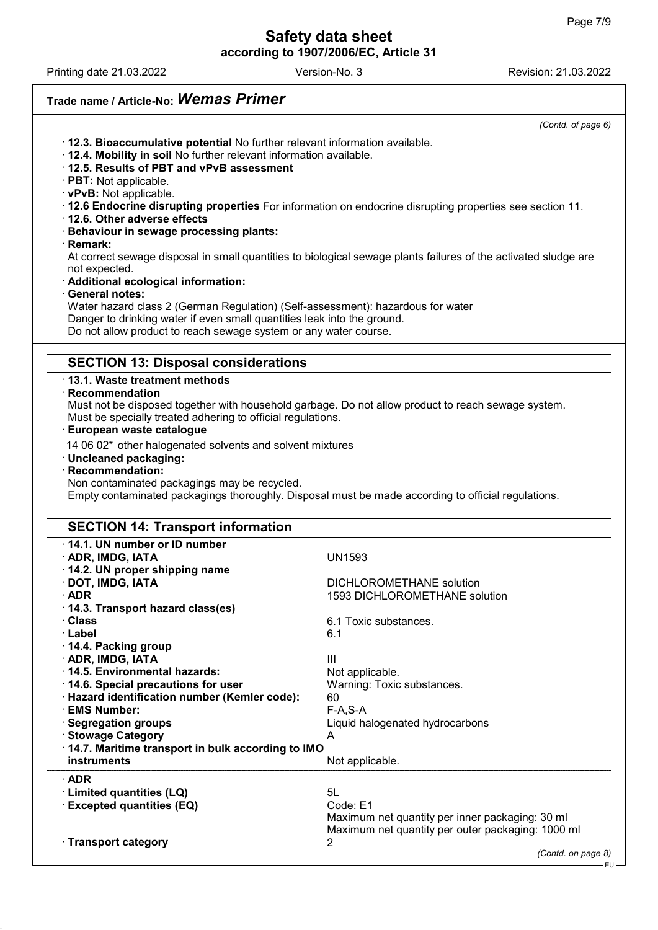Printing date 21.03.2022 Revision: 21.03.2022 Version-No. 3

54.0.4

#### Trade name / Article-No: Wemas Primer (Contd. of page 6) · 12.3. Bioaccumulative potential No further relevant information available. · 12.4. Mobility in soil No further relevant information available. · 12.5. Results of PBT and vPvB assessment · PBT: Not applicable. · vPvB: Not applicable. · 12.6 Endocrine disrupting properties For information on endocrine disrupting properties see section 11. · 12.6. Other adverse effects · Behaviour in sewage processing plants: · Remark: At correct sewage disposal in small quantities to biological sewage plants failures of the activated sludge are not expected. · Additional ecological information: · General notes: Water hazard class 2 (German Regulation) (Self-assessment): hazardous for water Danger to drinking water if even small quantities leak into the ground. Do not allow product to reach sewage system or any water course. SECTION 13: Disposal considerations · 13.1. Waste treatment methods · Recommendation Must not be disposed together with household garbage. Do not allow product to reach sewage system. Must be specially treated adhering to official regulations. · European waste catalogue 14 06 02\* other halogenated solvents and solvent mixtures · Uncleaned packaging: · Recommendation: Non contaminated packagings may be recycled. Empty contaminated packagings thoroughly. Disposal must be made according to official regulations. SECTION 14: Transport information · 14.1. UN number or ID number · ADR, IMDG, IATA UN1593 · 14.2. UN proper shipping name · DOT, IMDG, IATA DICHLOROMETHANE solution · ADR 1593 DICHLOROMETHANE solution · 14.3. Transport hazard class(es) · Class 6.1 Toxic substances. · Label 6.1 · 14.4. Packing group  $\cdot$  ADR, IMDG, IATA III  $\cdot$  14.5. Environmental hazards: Not applicable. · 14.6. Special precautions for user Warning: Toxic substances. · Hazard identification number (Kemler code): 60 · EMS Number: F-A,S-A · Segregation groups Liquid halogenated hydrocarbons · Stowage Category · 14.7. Maritime transport in bulk according to IMO instruments Not applicable. · ADR · Limited quantities (LQ) 5L<br>· Excepted quantities (EQ) Code: E1  $\cdot$  Excepted quantities (EQ) Maximum net quantity per inner packaging: 30 ml Maximum net quantity per outer packaging: 1000 ml · Transport category 2

(Contd. on page 8)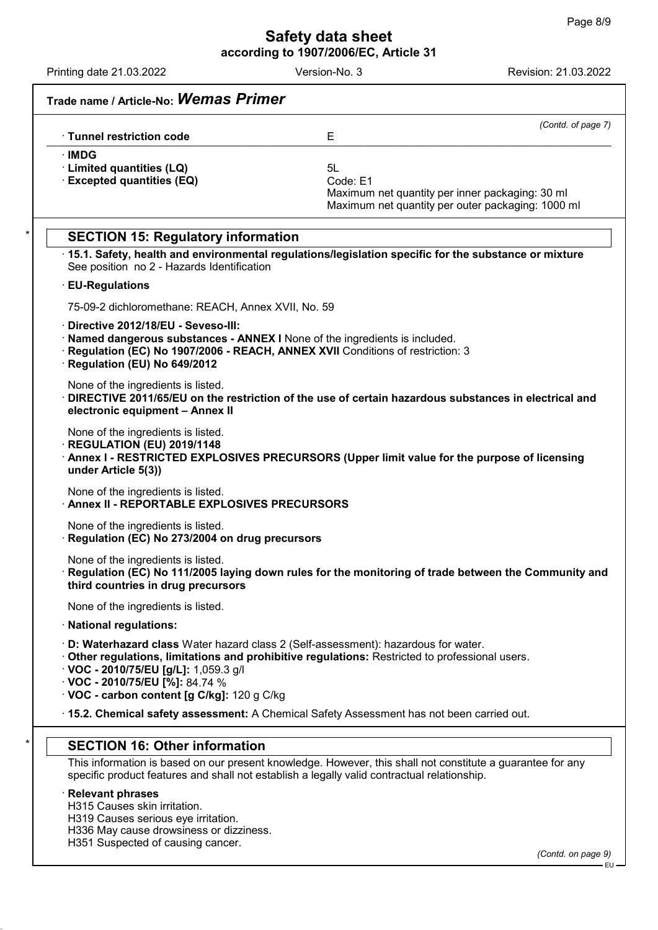Printing date 21.03.2022 Revision: 21.03.2022 Version-No. 3

|                                                                                                                                                                                                                                       | (Contd. of page 7)                                                                                                     |
|---------------------------------------------------------------------------------------------------------------------------------------------------------------------------------------------------------------------------------------|------------------------------------------------------------------------------------------------------------------------|
| <b>Tunnel restriction code</b>                                                                                                                                                                                                        | Е                                                                                                                      |
| ∙IMDG<br>· Limited quantities (LQ)<br><b>Excepted quantities (EQ)</b>                                                                                                                                                                 | 5L<br>Code: E1<br>Maximum net quantity per inner packaging: 30 ml<br>Maximum net quantity per outer packaging: 1000 ml |
| <b>SECTION 15: Regulatory information</b><br>See position no 2 - Hazards Identification                                                                                                                                               | 15.1. Safety, health and environmental regulations/legislation specific for the substance or mixture                   |
| · EU-Regulations                                                                                                                                                                                                                      |                                                                                                                        |
| 75-09-2 dichloromethane: REACH, Annex XVII, No. 59                                                                                                                                                                                    |                                                                                                                        |
| Directive 2012/18/EU - Seveso-III:<br>· Named dangerous substances - ANNEX I None of the ingredients is included.<br>· Regulation (EC) No 1907/2006 - REACH, ANNEX XVII Conditions of restriction: 3<br>· Regulation (EU) No 649/2012 |                                                                                                                        |
| None of the ingredients is listed.<br>electronic equipment - Annex II                                                                                                                                                                 | DIRECTIVE 2011/65/EU on the restriction of the use of certain hazardous substances in electrical and                   |
| None of the ingredients is listed.<br>REGULATION (EU) 2019/1148<br>under Article 5(3))                                                                                                                                                | Annex I - RESTRICTED EXPLOSIVES PRECURSORS (Upper limit value for the purpose of licensing                             |
| None of the ingredients is listed.<br><b>Annex II - REPORTABLE EXPLOSIVES PRECURSORS</b>                                                                                                                                              |                                                                                                                        |
| None of the ingredients is listed.<br>Regulation (EC) No 273/2004 on drug precursors                                                                                                                                                  |                                                                                                                        |
| None of the ingredients is listed.<br>third countries in drug precursors                                                                                                                                                              | $\cdot$ Regulation (EC) No 111/2005 laying down rules for the monitoring of trade between the Community and            |
| None of the ingredients is listed.                                                                                                                                                                                                    |                                                                                                                        |
| · National regulations:                                                                                                                                                                                                               |                                                                                                                        |
| · D: Waterhazard class Water hazard class 2 (Self-assessment): hazardous for water.<br>$\cdot$ VOC - 2010/75/EU [g/L]: 1,059.3 g/l<br>$\cdot$ VOC - 2010/75/EU [%]: 84.74 %<br>· VOC - carbon content [g C/kg]: 120 g C/kg            | Other regulations, limitations and prohibitive regulations: Restricted to professional users.                          |
|                                                                                                                                                                                                                                       | · 15.2. Chemical safety assessment: A Chemical Safety Assessment has not been carried out.                             |
| <b>SECTION 16: Other information</b>                                                                                                                                                                                                  |                                                                                                                        |
| specific product features and shall not establish a legally valid contractual relationship.                                                                                                                                           | This information is based on our present knowledge. However, this shall not constitute a guarantee for any             |
| <b>Relevant phrases</b><br>H315 Causes skin irritation.<br>H319 Causes serious eye irritation.<br>H336 May cause drowsiness or dizziness.                                                                                             |                                                                                                                        |
| H351 Suspected of causing cancer.                                                                                                                                                                                                     | (Contd. on page 9)                                                                                                     |